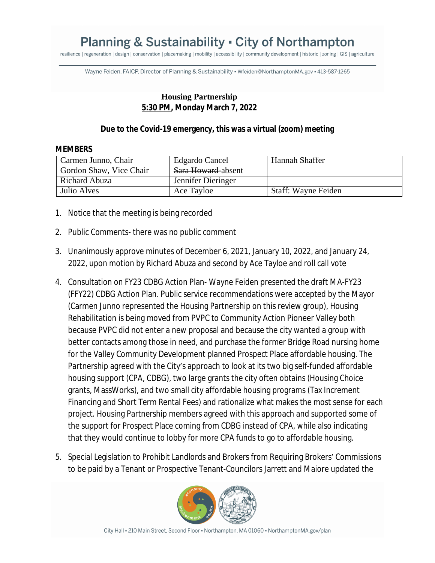## **Planning & Sustainability • City of Northampton**

resilience | regeneration | design | conservation | placemaking | mobility | accessibility | community development | historic | zoning | GIS | agriculture

Wayne Feiden, FAICP, Director of Planning & Sustainability · Wfeiden@NorthamptonMA.gov · 413-587-1265

## **Housing Partnership 5:30 PM, Monday March 7, 2022**

## **Due to the Covid-19 emergency, this was a virtual (zoom) meeting**

## **MEMBERS**

| Carmen Junno, Chair     | <b>Edgardo Cancel</b>          | Hannah Shaffer             |
|-------------------------|--------------------------------|----------------------------|
| Gordon Shaw, Vice Chair | <del>Sara Howard</del> -absent |                            |
| Richard Abuza           | Jennifer Dieringer             |                            |
| Julio Alves             | Ace Tayloe                     | <b>Staff: Wayne Feiden</b> |

- 1. Notice that the meeting is being recorded
- 2. Public Comments- there was no public comment
- 3. Unanimously approve minutes of December 6, 2021, January 10, 2022, and January 24, 2022, upon motion by Richard Abuza and second by Ace Tayloe and roll call vote
- 4. Consultation on FY23 CDBG Action Plan- Wayne Feiden presented the draft MA-FY23 (FFY22) CDBG Action Plan. Public service recommendations were accepted by the Mayor (Carmen Junno represented the Housing Partnership on this review group), Housing Rehabilitation is being moved from PVPC to Community Action Pioneer Valley both because PVPC did not enter a new proposal and because the city wanted a group with better contacts among those in need, and purchase the former Bridge Road nursing home for the Valley Community Development planned Prospect Place affordable housing. The Partnership agreed with the City's approach to look at its two big self-funded affordable housing support (CPA, CDBG), two large grants the city often obtains (Housing Choice grants, MassWorks), and two small city affordable housing programs (Tax Increment Financing and Short Term Rental Fees) and rationalize what makes the most sense for each project. Housing Partnership members agreed with this approach and supported some of the support for Prospect Place coming from CDBG instead of CPA, while also indicating that they would continue to lobby for more CPA funds to go to affordable housing.
- 5. Special Legislation to Prohibit Landlords and Brokers from Requiring Brokers' Commissions to be paid by a Tenant or Prospective Tenant-Councilors Jarrett and Maiore updated the